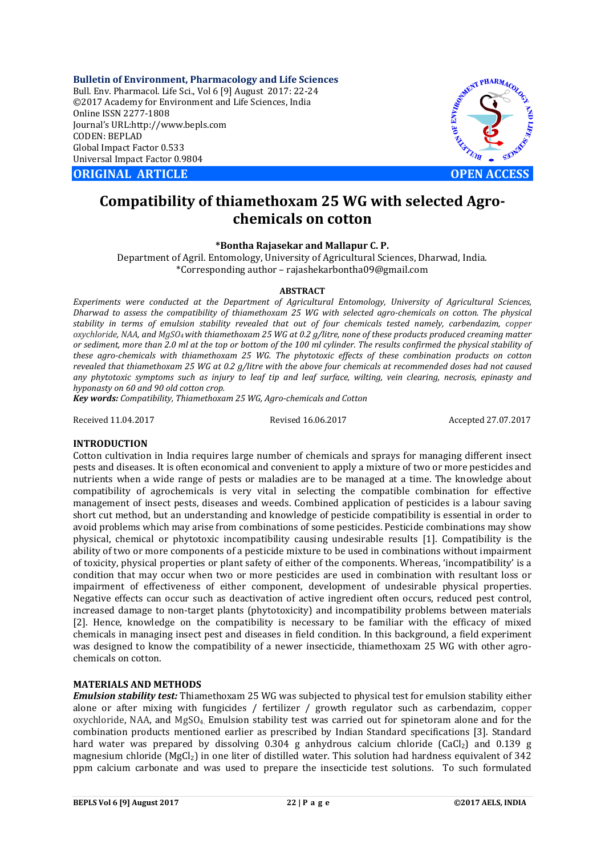**Bulletin of Environment, Pharmacology and Life Sciences** Bull. Env. Pharmacol. Life Sci., Vol 6 [9] August 2017: 22-24 ©2017 Academy for Environment and Life Sciences, India Online ISSN 2277-1808 Journal's URL:http://www.bepls.com CODEN: BEPLAD Global Impact Factor 0.533 Universal Impact Factor 0.9804

**CORIGINAL ARTICLE CONSUMING ARTICLE CONSUMING A REPORT OF A LIGHT AND A REPORT OF A LIGHT AND A LIGHT AND A LIGHT AND A LIGHT AND A LIGHT AND A LIGHT AND A LIGHT AND A LIGHT AND A LIGHT AND A LIGHT AND A LIGHT AND A L** 



# **Compatibility of thiamethoxam 25 WG with selected Agrochemicals on cotton**

## **\*Bontha Rajasekar and Mallapur C. P.**

Department of Agril. Entomology, University of Agricultural Sciences, Dharwad, India. \*Corresponding author – rajashekarbontha09@gmail.com

## **ABSTRACT**

*Experiments were conducted at the Department of Agricultural Entomology, University of Agricultural Sciences, Dharwad to assess the compatibility of thiamethoxam 25 WG with selected agro-chemicals on cotton. The physical stability in terms of emulsion stability revealed that out of four chemicals tested namely, carbendazim, copper oxychloride, NAA, and MgSO4 with thiamethoxam 25 WG at 0.2 g/litre, none of these products produced creaming matter or sediment, more than 2.0 ml at the top or bottom of the 100 ml cylinder. The results confirmed the physical stability of these agro-chemicals with thiamethoxam 25 WG. The phytotoxic effects of these combination products on cotton revealed that thiamethoxam 25 WG at 0.2 g/litre with the above four chemicals at recommended doses had not caused any phytotoxic symptoms such as injury to leaf tip and leaf surface, wilting, vein clearing, necrosis, epinasty and hyponasty on 60 and 90 old cotton crop.*

*Key words: Compatibility, Thiamethoxam 25 WG, Agro-chemicals and Cotton*

Received 11.04.2017 Revised 16.06.2017 Accepted 27.07.2017

## **INTRODUCTION**

Cotton cultivation in India requires large number of chemicals and sprays for managing different insect pests and diseases. It is often economical and convenient to apply a mixture of two or more pesticides and nutrients when a wide range of pests or maladies are to be managed at a time. The knowledge about compatibility of agrochemicals is very vital in selecting the compatible combination for effective management of insect pests, diseases and weeds. Combined application of pesticides is a labour saving short cut method, but an understanding and knowledge of pesticide compatibility is essential in order to avoid problems which may arise from combinations of some pesticides. Pesticide combinations may show physical, chemical or phytotoxic incompatibility causing undesirable results [1]. Compatibility is the ability of two or more components of a pesticide mixture to be used in combinations without impairment of toxicity, physical properties or plant safety of either of the components. Whereas, 'incompatibility' is a condition that may occur when two or more pesticides are used in combination with resultant loss or impairment of effectiveness of either component, development of undesirable physical properties. Negative effects can occur such as deactivation of active ingredient often occurs, reduced pest control, increased damage to non-target plants (phytotoxicity) and incompatibility problems between materials [2]. Hence, knowledge on the compatibility is necessary to be familiar with the efficacy of mixed chemicals in managing insect pest and diseases in field condition. In this background, a field experiment was designed to know the compatibility of a newer insecticide, thiamethoxam 25 WG with other agrochemicals on cotton.

## **MATERIALS AND METHODS**

*Emulsion stability test:* Thiamethoxam 25 WG was subjected to physical test for emulsion stability either alone or after mixing with fungicides / fertilizer / growth regulator such as carbendazim, copper oxychloride, NAA, and MgSO<sub>4</sub>. Emulsion stability test was carried out for spinetoram alone and for the combination products mentioned earlier as prescribed by Indian Standard specifications [3]. Standard hard water was prepared by dissolving  $0.304$  g anhydrous calcium chloride (CaCl<sub>2</sub>) and 0.139 g magnesium chloride ( $MgCl<sub>2</sub>$ ) in one liter of distilled water. This solution had hardness equivalent of 342 ppm calcium carbonate and was used to prepare the insecticide test solutions. To such formulated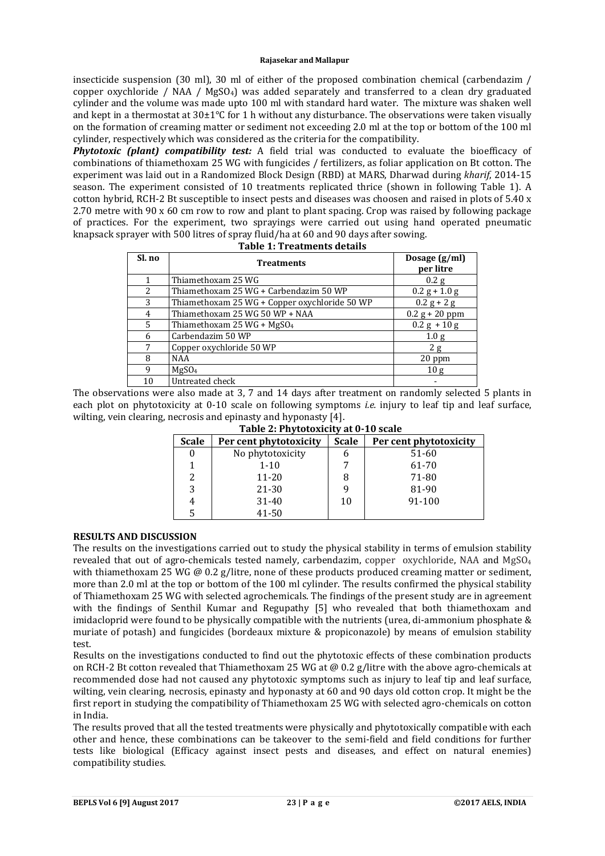### **Rajasekar and Mallapur**

insecticide suspension (30 ml), 30 ml of either of the proposed combination chemical (carbendazim / copper oxychloride / NAA / MgSO4) was added separately and transferred to a clean dry graduated cylinder and the volume was made upto 100 ml with standard hard water. The mixture was shaken well and kept in a thermostat at 30±1°C for 1 h without any disturbance. The observations were taken visually on the formation of creaming matter or sediment not exceeding 2.0 ml at the top or bottom of the 100 ml cylinder, respectively which was considered as the criteria for the compatibility.

*Phytotoxic (plant) compatibility test:* A field trial was conducted to evaluate the bioefficacy of combinations of thiamethoxam 25 WG with fungicides / fertilizers, as foliar application on Bt cotton. The experiment was laid out in a Randomized Block Design (RBD) at MARS, Dharwad during *kharif*, 2014-15 season. The experiment consisted of 10 treatments replicated thrice (shown in following Table 1). A cotton hybrid, RCH-2 Bt susceptible to insect pests and diseases was choosen and raised in plots of 5.40 x 2.70 metre with 90 x 60 cm row to row and plant to plant spacing. Crop was raised by following package of practices. For the experiment, two sprayings were carried out using hand operated pneumatic knapsack sprayer with 500 litres of spray fluid/ha at 60 and 90 days after sowing.

| Sl. no | <b>Treatments</b>                             | Dosage (g/ml)<br>per litre |  |
|--------|-----------------------------------------------|----------------------------|--|
|        | Thiamethoxam 25 WG                            | 0.2 g                      |  |
| 2      | Thiamethoxam 25 WG + Carbendazim 50 WP        | $0.2 g + 1.0 g$            |  |
| 3      | Thiamethoxam 25 WG + Copper oxychloride 50 WP | $0.2 g + 2 g$              |  |
| 4      | Thiamethoxam 25 WG 50 WP + NAA                | $0.2 g + 20 ppm$           |  |
| 5      | Thiamethoxam 25 WG + $MgSO4$                  | $0.2 g + 10 g$             |  |
| 6      | Carbendazim 50 WP                             | 1.0 <sub>g</sub>           |  |
| 7      | Copper oxychloride 50 WP                      | 2g                         |  |
| 8      | <b>NAA</b>                                    | 20 ppm                     |  |
| 9      | MgSO <sub>4</sub>                             | 10 <sub>g</sub>            |  |
| 10     | Untreated check                               |                            |  |

| $\sim$ |                                    |  |
|--------|------------------------------------|--|
|        | <b>Table 1: Treatments details</b> |  |

The observations were also made at 3, 7 and 14 days after treatment on randomly selected 5 plants in each plot on phytotoxicity at 0-10 scale on following symptoms *i.e.* injury to leaf tip and leaf surface, wilting, vein clearing, necrosis and epinasty and hyponasty [4].

|  |  | Table 2: Phytotoxicity at 0-10 scale |  |
|--|--|--------------------------------------|--|
|--|--|--------------------------------------|--|

| <b>Scale</b> | Per cent phytotoxicity | <b>Scale</b> | Per cent phytotoxicity |
|--------------|------------------------|--------------|------------------------|
|              | No phytotoxicity       | n            | 51-60                  |
|              | $1 - 10$               |              | 61-70                  |
| 2            | $11 - 20$              | 8            | 71-80                  |
|              | 21-30                  |              | 81-90                  |
|              | $31 - 40$              | 10           | 91-100                 |
|              | 41-50                  |              |                        |

## **RESULTS AND DISCUSSION**

The results on the investigations carried out to study the physical stability in terms of emulsion stability revealed that out of agro-chemicals tested namely, carbendazim, copper oxychloride, NAA and MgSO<sub>4</sub> with thiamethoxam 25 WG @ 0.2 g/litre, none of these products produced creaming matter or sediment, more than 2.0 ml at the top or bottom of the 100 ml cylinder. The results confirmed the physical stability of Thiamethoxam 25 WG with selected agrochemicals. The findings of the present study are in agreement with the findings of Senthil Kumar and Regupathy [5] who revealed that both thiamethoxam and imidacloprid were found to be physically compatible with the nutrients (urea, di-ammonium phosphate & muriate of potash) and fungicides (bordeaux mixture & propiconazole) by means of emulsion stability test.

Results on the investigations conducted to find out the phytotoxic effects of these combination products on RCH-2 Bt cotton revealed that Thiamethoxam 25 WG at @ 0.2 g/litre with the above agro-chemicals at recommended dose had not caused any phytotoxic symptoms such as injury to leaf tip and leaf surface, wilting, vein clearing, necrosis, epinasty and hyponasty at 60 and 90 days old cotton crop. It might be the first report in studying the compatibility of Thiamethoxam 25 WG with selected agro-chemicals on cotton in India.

The results proved that all the tested treatments were physically and phytotoxically compatible with each other and hence' these combinations can be takeover to the semi-field and field conditions for further tests like biological (Efficacy against insect pests and diseases, and effect on natural enemies) compatibility studies.